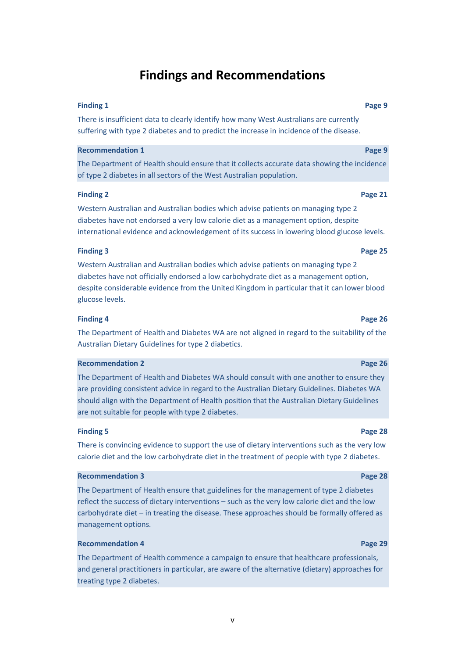# **Findings and Recommendations**

# **Finding 1 Page 9**

There is insufficient data to clearly identify how many West Australians are currently suffering with type 2 diabetes and to predict the increase in incidence of the disease.

# **Recommendation 1 Page 9**

The Department of Health should ensure that it collects accurate data showing the incidence of type 2 diabetes in all sectors of the West Australian population.

# **Finding 2 Page 21**

Western Australian and Australian bodies which advise patients on managing type 2 diabetes have not endorsed a very low calorie diet as a management option, despite international evidence and acknowledgement of its success in lowering blood glucose levels.

# **Finding 3 Page 25**

Western Australian and Australian bodies which advise patients on managing type 2 diabetes have not officially endorsed a low carbohydrate diet as a management option, despite considerable evidence from the United Kingdom in particular that it can lower blood glucose levels.

# **Finding 4 Page 26**

The Department of Health and Diabetes WA are not aligned in regard to the suitability of the Australian Dietary Guidelines for type 2 diabetics.

# **Recommendation 2 Page 26**

The Department of Health and Diabetes WA should consult with one another to ensure they are providing consistent advice in regard to the Australian Dietary Guidelines. Diabetes WA should align with the Department of Health position that the Australian Dietary Guidelines are not suitable for people with type 2 diabetes.

### **Finding 5 Page 28**

There is convincing evidence to support the use of dietary interventions such as the very low calorie diet and the low carbohydrate diet in the treatment of people with type 2 diabetes.

### **Recommendation 3 Page 28**

The Department of Health ensure that guidelines for the management of type 2 diabetes reflect the success of dietary interventions – such as the very low calorie diet and the low carbohydrate diet – in treating the disease. These approaches should be formally offered as management options.

# **Recommendation 4 Page 29**

The Department of Health commence a campaign to ensure that healthcare professionals, and general practitioners in particular, are aware of the alternative (dietary) approaches for treating type 2 diabetes.

### v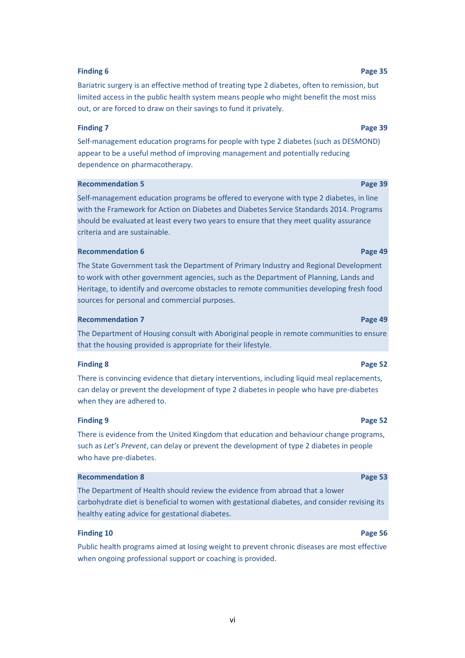# **Finding 6 Page 35**

Bariatric surgery is an effective method of treating type 2 diabetes, often to remission, but limited access in the public health system means people who might benefit the most miss out, or are forced to draw on their savings to fund it privately.

### **Finding 7 Page 39**

Self-management education programs for people with type 2 diabetes (such as DESMOND) appear to be a useful method of improving management and potentially reducing dependence on pharmacotherapy.

### **Recommendation 5 Page 39**

Self-management education programs be offered to everyone with type 2 diabetes, in line with the Framework for Action on Diabetes and Diabetes Service Standards 2014. Programs should be evaluated at least every two years to ensure that they meet quality assurance criteria and are sustainable.

# **Recommendation 6 Page 49**

The State Government task the Department of Primary Industry and Regional Development to work with other government agencies, such as the Department of Planning, Lands and Heritage, to identify and overcome obstacles to remote communities developing fresh food sources for personal and commercial purposes.

# **Recommendation 7 Page 49**

The Department of Housing consult with Aboriginal people in remote communities to ensure that the housing provided is appropriate for their lifestyle.

# **Finding 8 Page 52**

There is convincing evidence that dietary interventions, including liquid meal replacements, can delay or prevent the development of type 2 diabetes in people who have pre-diabetes when they are adhered to.

# **Finding 9 Page 52**

There is evidence from the United Kingdom that education and behaviour change programs, such as *Let's Prevent*, can delay or prevent the development of type 2 diabetes in people who have pre-diabetes.

### **Recommendation 8 Page 53**

The Department of Health should review the evidence from abroad that a lower carbohydrate diet is beneficial to women with gestational diabetes, and consider revising its healthy eating advice for gestational diabetes.

# **Finding 10 Page 56**

Public health programs aimed at losing weight to prevent chronic diseases are most effective when ongoing professional support or coaching is provided.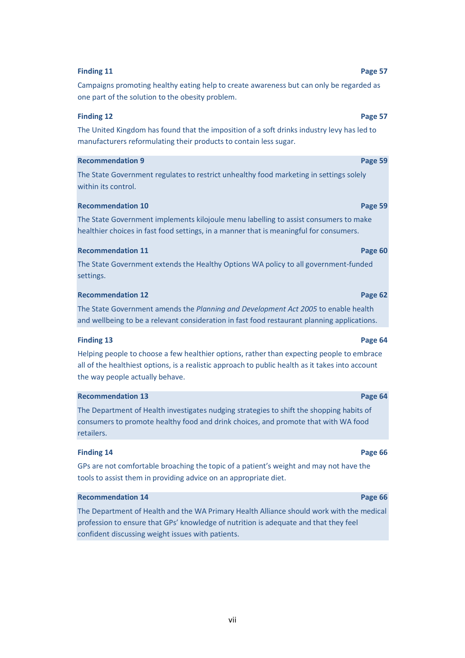# **Finding 11 Page 57**

Campaigns promoting healthy eating help to create awareness but can only be regarded as one part of the solution to the obesity problem.

### **Finding 12 Page 57**

The United Kingdom has found that the imposition of a soft drinks industry levy has led to manufacturers reformulating their products to contain less sugar.

# **Recommendation 9 Page 59**

The State Government regulates to restrict unhealthy food marketing in settings solely within its control.

# **Recommendation 10 Page 59**

The State Government implements kilojoule menu labelling to assist consumers to make healthier choices in fast food settings, in a manner that is meaningful for consumers.

# **Recommendation 11 Page 60**

The State Government extends the Healthy Options WA policy to all government-funded settings.

# **Recommendation 12 Page 62 Page 62**

The State Government amends the *Planning and Development Act 2005* to enable health and wellbeing to be a relevant consideration in fast food restaurant planning applications.

# **Finding 13 Page 64**

Helping people to choose a few healthier options, rather than expecting people to embrace all of the healthiest options, is a realistic approach to public health as it takes into account the way people actually behave.

# **Recommendation 13 Page 64**

The Department of Health investigates nudging strategies to shift the shopping habits of consumers to promote healthy food and drink choices, and promote that with WA food retailers.

### **Finding 14 Page 66**

GPs are not comfortable broaching the topic of a patient's weight and may not have the tools to assist them in providing advice on an appropriate diet.

# **Recommendation 14 Page 66**

The Department of Health and the WA Primary Health Alliance should work with the medical profession to ensure that GPs' knowledge of nutrition is adequate and that they feel confident discussing weight issues with patients.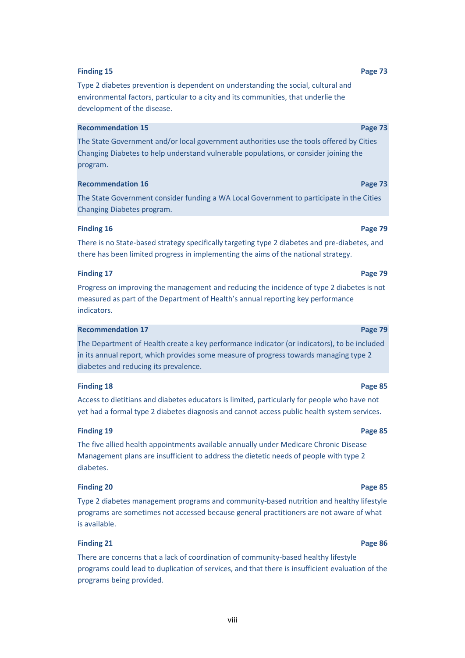# **Finding 15 Page 73**

Type 2 diabetes prevention is dependent on understanding the social, cultural and environmental factors, particular to a city and its communities, that underlie the development of the disease.

# **Recommendation 15 Page 73**

The State Government and/or local government authorities use the tools offered by Cities Changing Diabetes to help understand vulnerable populations, or consider joining the program.

### **Recommendation 16 Page 73**

The State Government consider funding a WA Local Government to participate in the Cities Changing Diabetes program.

### **Finding 16 Page 79**

There is no State-based strategy specifically targeting type 2 diabetes and pre-diabetes, and there has been limited progress in implementing the aims of the national strategy.

### **Finding 17 Page 79**

Progress on improving the management and reducing the incidence of type 2 diabetes is not measured as part of the Department of Health's annual reporting key performance indicators.

# **Recommendation 17 Page 79**

The Department of Health create a key performance indicator (or indicators), to be included in its annual report, which provides some measure of progress towards managing type 2 diabetes and reducing its prevalence.

### **Finding 18 Page 85**

Access to dietitians and diabetes educators is limited, particularly for people who have not yet had a formal type 2 diabetes diagnosis and cannot access public health system services.

### **Finding 19 Page 85**

The five allied health appointments available annually under Medicare Chronic Disease Management plans are insufficient to address the dietetic needs of people with type 2 diabetes.

### **Finding 20 Page 85**

Type 2 diabetes management programs and community-based nutrition and healthy lifestyle programs are sometimes not accessed because general practitioners are not aware of what is available.

### **Finding 21 Page 86**

There are concerns that a lack of coordination of community-based healthy lifestyle programs could lead to duplication of services, and that there is insufficient evaluation of the programs being provided.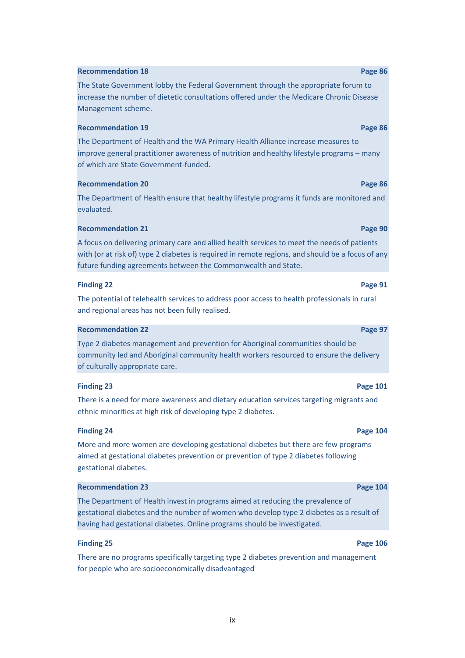# **Recommendation 18 Page 86 Page 86**

The State Government lobby the Federal Government through the appropriate forum to increase the number of dietetic consultations offered under the Medicare Chronic Disease Management scheme.

# **Recommendation 19 Page 86**

The Department of Health and the WA Primary Health Alliance increase measures to improve general practitioner awareness of nutrition and healthy lifestyle programs – many of which are State Government-funded.

# **Recommendation 20 Page 86**

The Department of Health ensure that healthy lifestyle programs it funds are monitored and evaluated.

### **Recommendation 21 Page 90**

A focus on delivering primary care and allied health services to meet the needs of patients with (or at risk of) type 2 diabetes is required in remote regions, and should be a focus of any future funding agreements between the Commonwealth and State.

# **Finding 22 Page 91**

The potential of telehealth services to address poor access to health professionals in rural and regional areas has not been fully realised.

# **Recommendation 22 Page 97**

Type 2 diabetes management and prevention for Aboriginal communities should be community led and Aboriginal community health workers resourced to ensure the delivery of culturally appropriate care.

### **Finding 23 Page 101**

There is a need for more awareness and dietary education services targeting migrants and ethnic minorities at high risk of developing type 2 diabetes.

### **Finding 24 Page 104**

More and more women are developing gestational diabetes but there are few programs aimed at gestational diabetes prevention or prevention of type 2 diabetes following gestational diabetes.

### **Recommendation 23 Page 104 Page 104**

The Department of Health invest in programs aimed at reducing the prevalence of gestational diabetes and the number of women who develop type 2 diabetes as a result of having had gestational diabetes. Online programs should be investigated.

### **Finding 25 Page 106**

There are no programs specifically targeting type 2 diabetes prevention and management for people who are socioeconomically disadvantaged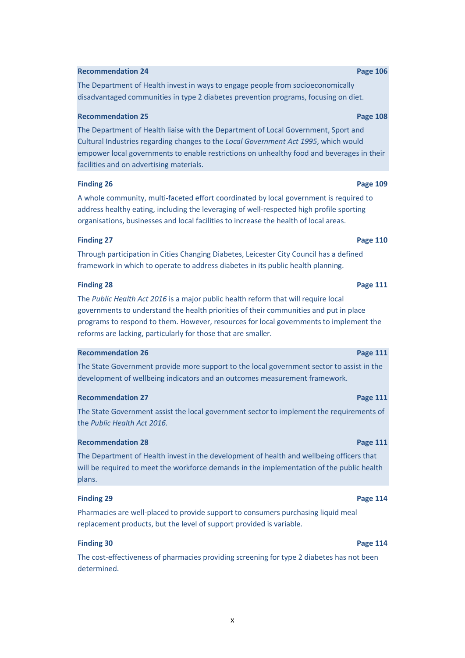### **Recommendation 24 Page 106 Page 106**

The Department of Health invest in ways to engage people from socioeconomically disadvantaged communities in type 2 diabetes prevention programs, focusing on diet.

### **Recommendation 25 Page 108**

The Department of Health liaise with the Department of Local Government, Sport and Cultural Industries regarding changes to the *Local Government Act 1995*, which would empower local governments to enable restrictions on unhealthy food and beverages in their facilities and on advertising materials.

### **Finding 26 Page 109**

A whole community, multi-faceted effort coordinated by local government is required to address healthy eating, including the leveraging of well-respected high profile sporting organisations, businesses and local facilities to increase the health of local areas.

# **Finding 27 Page 110**

Through participation in Cities Changing Diabetes, Leicester City Council has a defined framework in which to operate to address diabetes in its public health planning.

### **Finding 28 Page 111**

The *Public Health Act 2016* is a major public health reform that will require local governments to understand the health priorities of their communities and put in place programs to respond to them. However, resources for local governments to implement the reforms are lacking, particularly for those that are smaller.

### **Recommendation 26 Page 111**

The State Government provide more support to the local government sector to assist in the development of wellbeing indicators and an outcomes measurement framework.

### **Recommendation 27 Page 111**

The State Government assist the local government sector to implement the requirements of the *Public Health Act 2016.*

### **Recommendation 28 Page 111**

The Department of Health invest in the development of health and wellbeing officers that will be required to meet the workforce demands in the implementation of the public health plans.

### **Finding 29 Page 114**

Pharmacies are well-placed to provide support to consumers purchasing liquid meal replacement products, but the level of support provided is variable.

### **Finding 30 Page 114**

The cost-effectiveness of pharmacies providing screening for type 2 diabetes has not been determined.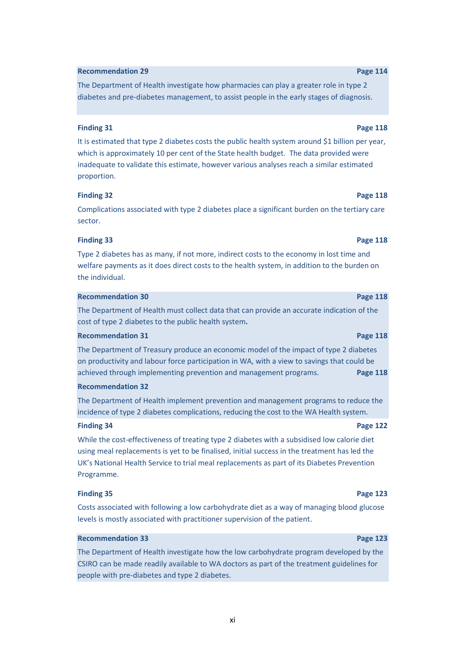### **Recommendation 29 Page 114**

The Department of Health investigate how pharmacies can play a greater role in type 2 diabetes and pre-diabetes management, to assist people in the early stages of diagnosis.

### **Finding 31 Page 118**

It is estimated that type 2 diabetes costs the public health system around \$1 billion per year, which is approximately 10 per cent of the State health budget. The data provided were inadequate to validate this estimate, however various analyses reach a similar estimated proportion.

### **Finding 32 Page 118**

Complications associated with type 2 diabetes place a significant burden on the tertiary care sector.

### **Finding 33 Page 118**

Type 2 diabetes has as many, if not more, indirect costs to the economy in lost time and welfare payments as it does direct costs to the health system, in addition to the burden on the individual.

# **Recommendation 30 Page 118**

The Department of Health must collect data that can provide an accurate indication of the cost of type 2 diabetes to the public health system**.**

### **Recommendation 31 Page 118**

The Department of Treasury produce an economic model of the impact of type 2 diabetes on productivity and labour force participation in WA, with a view to savings that could be achieved through implementing prevention and management programs. **Page 118**

# **Recommendation 32**

The Department of Health implement prevention and management programs to reduce the incidence of type 2 diabetes complications, reducing the cost to the WA Health system.

### **Finding 34 Page 122**

While the cost-effectiveness of treating type 2 diabetes with a subsidised low calorie diet using meal replacements is yet to be finalised, initial success in the treatment has led the UK's National Health Service to trial meal replacements as part of its Diabetes Prevention Programme.

### **Finding 35 Page 123**

Costs associated with following a low carbohydrate diet as a way of managing blood glucose levels is mostly associated with practitioner supervision of the patient.

### **Recommendation 33 Page 123**

The Department of Health investigate how the low carbohydrate program developed by the CSIRO can be made readily available to WA doctors as part of the treatment guidelines for people with pre-diabetes and type 2 diabetes.